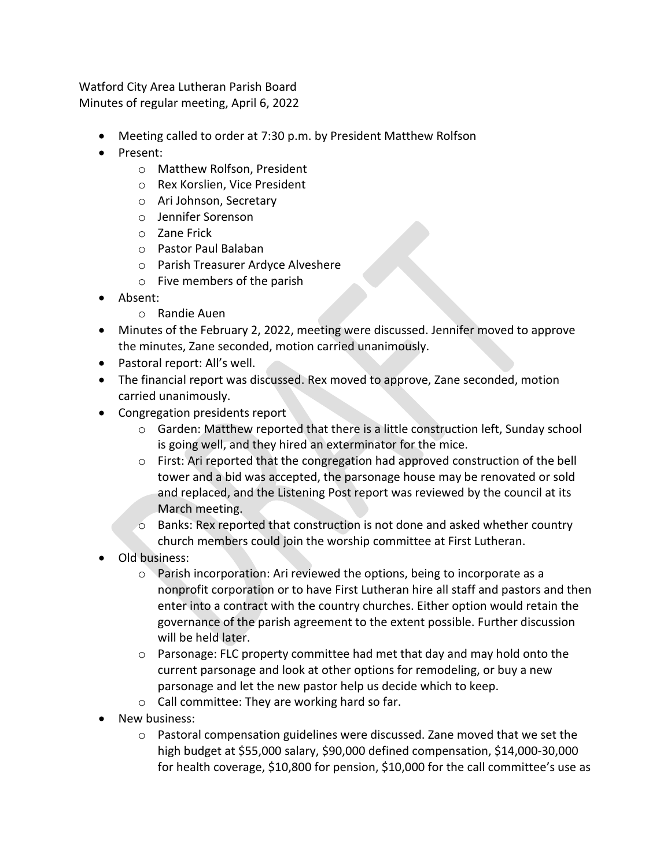Watford City Area Lutheran Parish Board Minutes of regular meeting, April 6, 2022

- Meeting called to order at 7:30 p.m. by President Matthew Rolfson
- Present:
	- o Matthew Rolfson, President
	- o Rex Korslien, Vice President
	- o Ari Johnson, Secretary
	- o Jennifer Sorenson
	- o Zane Frick
	- o Pastor Paul Balaban
	- o Parish Treasurer Ardyce Alveshere
	- o Five members of the parish
- Absent:
	- o Randie Auen
- Minutes of the February 2, 2022, meeting were discussed. Jennifer moved to approve the minutes, Zane seconded, motion carried unanimously.
- Pastoral report: All's well.
- The financial report was discussed. Rex moved to approve, Zane seconded, motion carried unanimously.
- Congregation presidents report
	- $\circ$  Garden: Matthew reported that there is a little construction left, Sunday school is going well, and they hired an exterminator for the mice.
	- $\circ$  First: Ari reported that the congregation had approved construction of the bell tower and a bid was accepted, the parsonage house may be renovated or sold and replaced, and the Listening Post report was reviewed by the council at its March meeting.
	- $\circ$  Banks: Rex reported that construction is not done and asked whether country church members could join the worship committee at First Lutheran.
- Old business:
	- o Parish incorporation: Ari reviewed the options, being to incorporate as a nonprofit corporation or to have First Lutheran hire all staff and pastors and then enter into a contract with the country churches. Either option would retain the governance of the parish agreement to the extent possible. Further discussion will be held later.
	- $\circ$  Parsonage: FLC property committee had met that day and may hold onto the current parsonage and look at other options for remodeling, or buy a new parsonage and let the new pastor help us decide which to keep.
	- o Call committee: They are working hard so far.
- New business:
	- o Pastoral compensation guidelines were discussed. Zane moved that we set the high budget at \$55,000 salary, \$90,000 defined compensation, \$14,000-30,000 for health coverage, \$10,800 for pension, \$10,000 for the call committee's use as